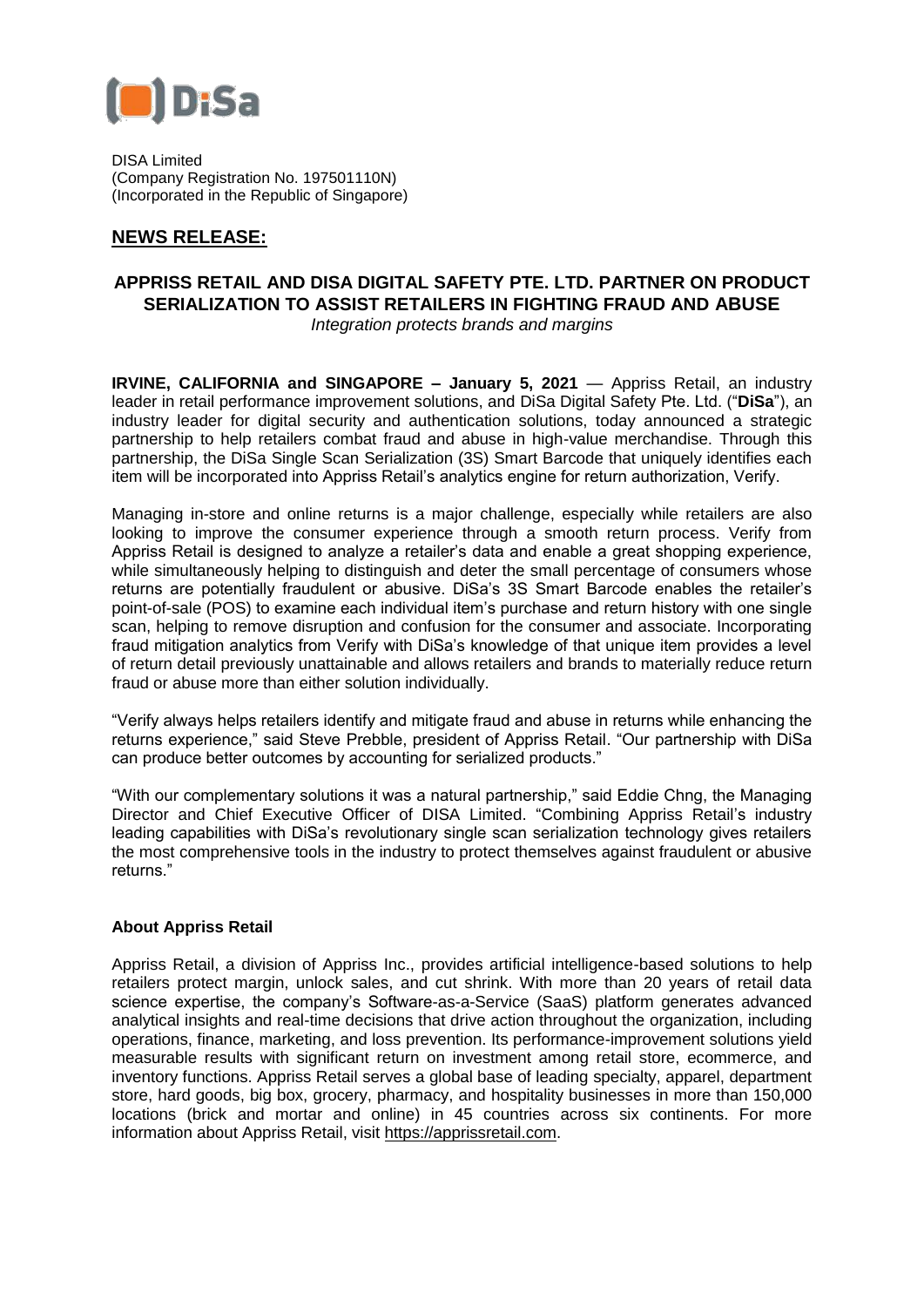

DISA Limited (Company Registration No. 197501110N) (Incorporated in the Republic of Singapore)

## **NEWS RELEASE:**

# **APPRISS RETAIL AND DISA DIGITAL SAFETY PTE. LTD. PARTNER ON PRODUCT SERIALIZATION TO ASSIST RETAILERS IN FIGHTING FRAUD AND ABUSE**

*Integration protects brands and margins* 

**IRVINE, CALIFORNIA and SINGAPORE – January 5, 2021** — Appriss Retail, an industry leader in retail performance improvement solutions, and DiSa Digital Safety Pte. Ltd. ("**DiSa**"), an industry leader for digital security and authentication solutions, today announced a strategic partnership to help retailers combat fraud and abuse in high-value merchandise. Through this partnership, the DiSa Single Scan Serialization (3S) Smart Barcode that uniquely identifies each item will be incorporated into Appriss Retail's analytics engine for return authorization, Verify.

Managing in-store and online returns is a major challenge, especially while retailers are also looking to improve the consumer experience through a smooth return process. Verify from Appriss Retail is designed to analyze a retailer's data and enable a great shopping experience, while simultaneously helping to distinguish and deter the small percentage of consumers whose returns are potentially fraudulent or abusive. DiSa's 3S Smart Barcode enables the retailer's point-of-sale (POS) to examine each individual item's purchase and return history with one single scan, helping to remove disruption and confusion for the consumer and associate. Incorporating fraud mitigation analytics from Verify with DiSa's knowledge of that unique item provides a level of return detail previously unattainable and allows retailers and brands to materially reduce return fraud or abuse more than either solution individually.

"Verify always helps retailers identify and mitigate fraud and abuse in returns while enhancing the returns experience," said Steve Prebble, president of Appriss Retail. "Our partnership with DiSa can produce better outcomes by accounting for serialized products."

"With our complementary solutions it was a natural partnership," said Eddie Chng, the Managing Director and Chief Executive Officer of DISA Limited. "Combining Appriss Retail's industry leading capabilities with DiSa's revolutionary single scan serialization technology gives retailers the most comprehensive tools in the industry to protect themselves against fraudulent or abusive returns."

## **About Appriss Retail**

Appriss Retail, a division of Appriss Inc., provides artificial intelligence-based solutions to help retailers protect margin, unlock sales, and cut shrink. With more than 20 years of retail data science expertise, the company's Software-as-a-Service (SaaS) platform generates advanced analytical insights and real-time decisions that drive action throughout the organization, including operations, finance, marketing, and loss prevention. Its performance-improvement solutions yield measurable results with significant return on investment among retail store, ecommerce, and inventory functions. Appriss Retail serves a global base of leading specialty, apparel, department store, hard goods, big box, grocery, pharmacy, and hospitality businesses in more than 150,000 locations (brick and mortar and online) in 45 countries across six continents. For more information about Appriss Retail, visit [https://apprissretail.com.](https://apprissretail.com/)